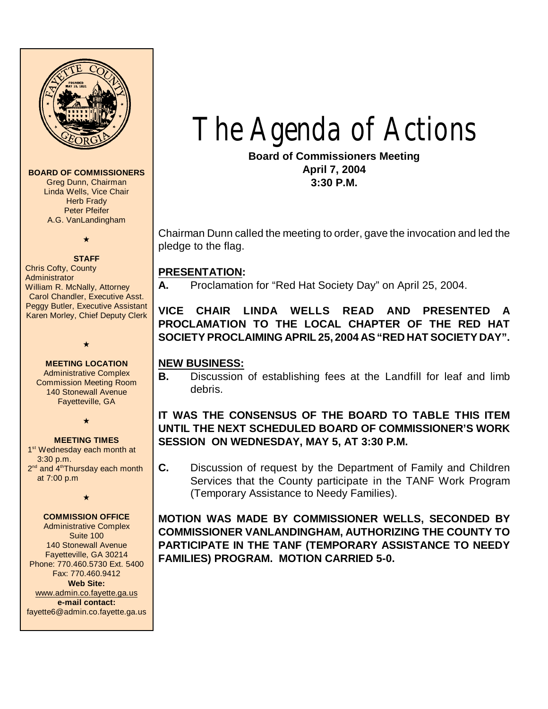

#### **BOARD OF COMMISSIONERS**

Greg Dunn, Chairman Linda Wells, Vice Chair **Herb Frady** Peter Pfeifer A.G. VanLandingham

# $\star$

**STAFF** Chris Cofty, County **Administrator** William R. McNally, Attorney Carol Chandler, Executive Asst. Peggy Butler, Executive Assistant Karen Morley, Chief Deputy Clerk

#### **MEETING LOCATION**

 $\star$ 

Administrative Complex Commission Meeting Room 140 Stonewall Avenue Fayetteville, GA

 $\star$ 

#### **MEETING TIMES**

1<sup>st</sup> Wednesday each month at 3:30 p.m. 2<sup>nd</sup> and 4<sup>th</sup>Thursday each month at 7:00 p.m

 $\star$ 

#### **COMMISSION OFFICE**

Administrative Complex Suite 100 140 Stonewall Avenue Fayetteville, GA 30214 Phone: 770.460.5730 Ext. 5400 Fax: 770.460.9412 **Web Site:** [www.admin.co.fayette.ga.us](http://www.admin.co.fayette.ga.us) **e-mail contact:** fayette6@admin.co.fayette.ga.us The Agenda of Actions

**Board of Commissioners Meeting April 7, 2004 3:30 P.M.**

Chairman Dunn called the meeting to order, gave the invocation and led the pledge to the flag.

#### **PRESENTATION:**

**A.** Proclamation for "Red Hat Society Day" on April 25, 2004.

**VICE CHAIR LINDA WELLS READ AND PRESENTED A PROCLAMATION TO THE LOCAL CHAPTER OF THE RED HAT SOCIETY PROCLAIMING APRIL 25, 2004 AS "RED HAT SOCIETY DAY".**

#### **NEW BUSINESS:**

**B.** Discussion of establishing fees at the Landfill for leaf and limb debris.

# **IT WAS THE CONSENSUS OF THE BOARD TO TABLE THIS ITEM UNTIL THE NEXT SCHEDULED BOARD OF COMMISSIONER'S WORK SESSION ON WEDNESDAY, MAY 5, AT 3:30 P.M.**

**C.** Discussion of request by the Department of Family and Children Services that the County participate in the TANF Work Program (Temporary Assistance to Needy Families).

**MOTION WAS MADE BY COMMISSIONER WELLS, SECONDED BY COMMISSIONER VANLANDINGHAM, AUTHORIZING THE COUNTY TO PARTICIPATE IN THE TANF (TEMPORARY ASSISTANCE TO NEEDY FAMILIES) PROGRAM. MOTION CARRIED 5-0.**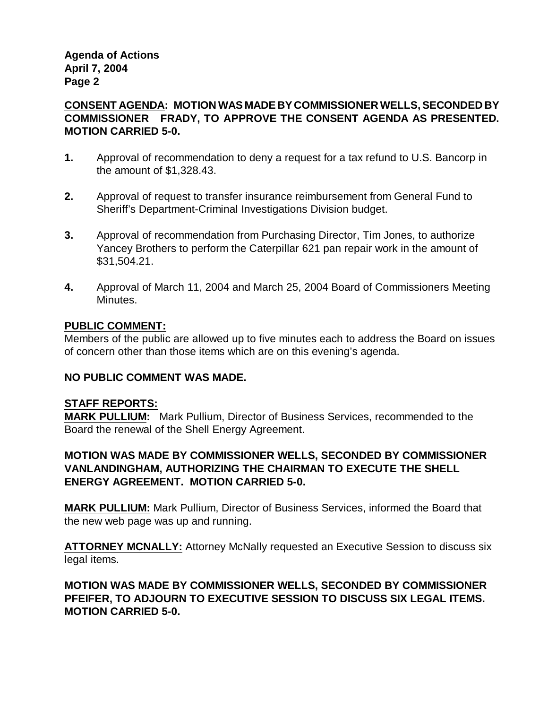**Agenda of Actions April 7, 2004 Page 2**

# **CONSENT AGENDA: MOTION WAS MADE BY COMMISSIONER WELLS, SECONDED BY COMMISSIONER FRADY, TO APPROVE THE CONSENT AGENDA AS PRESENTED. MOTION CARRIED 5-0.**

- **1.** Approval of recommendation to deny a request for a tax refund to U.S. Bancorp in the amount of \$1,328.43.
- **2.** Approval of request to transfer insurance reimbursement from General Fund to Sheriff's Department-Criminal Investigations Division budget.
- **3.** Approval of recommendation from Purchasing Director, Tim Jones, to authorize Yancey Brothers to perform the Caterpillar 621 pan repair work in the amount of \$31,504.21.
- **4.** Approval of March 11, 2004 and March 25, 2004 Board of Commissioners Meeting Minutes.

# **PUBLIC COMMENT:**

Members of the public are allowed up to five minutes each to address the Board on issues of concern other than those items which are on this evening's agenda.

# **NO PUBLIC COMMENT WAS MADE.**

### **STAFF REPORTS:**

**MARK PULLIUM:** Mark Pullium, Director of Business Services, recommended to the Board the renewal of the Shell Energy Agreement.

# **MOTION WAS MADE BY COMMISSIONER WELLS, SECONDED BY COMMISSIONER VANLANDINGHAM, AUTHORIZING THE CHAIRMAN TO EXECUTE THE SHELL ENERGY AGREEMENT. MOTION CARRIED 5-0.**

**MARK PULLIUM:** Mark Pullium, Director of Business Services, informed the Board that the new web page was up and running.

**ATTORNEY MCNALLY:** Attorney McNally requested an Executive Session to discuss six legal items.

# **MOTION WAS MADE BY COMMISSIONER WELLS, SECONDED BY COMMISSIONER PFEIFER, TO ADJOURN TO EXECUTIVE SESSION TO DISCUSS SIX LEGAL ITEMS. MOTION CARRIED 5-0.**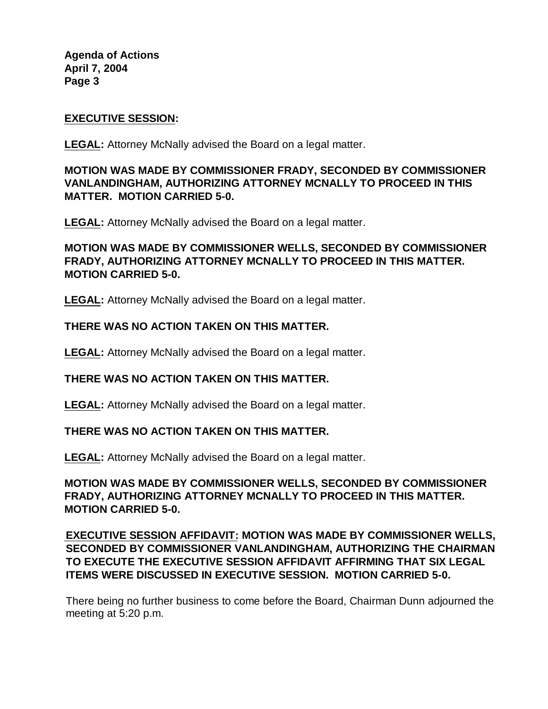**Agenda of Actions April 7, 2004 Page 3**

#### **EXECUTIVE SESSION:**

**LEGAL:** Attorney McNally advised the Board on a legal matter.

# **MOTION WAS MADE BY COMMISSIONER FRADY, SECONDED BY COMMISSIONER VANLANDINGHAM, AUTHORIZING ATTORNEY MCNALLY TO PROCEED IN THIS MATTER. MOTION CARRIED 5-0.**

**LEGAL:** Attorney McNally advised the Board on a legal matter.

# **MOTION WAS MADE BY COMMISSIONER WELLS, SECONDED BY COMMISSIONER FRADY, AUTHORIZING ATTORNEY MCNALLY TO PROCEED IN THIS MATTER. MOTION CARRIED 5-0.**

**LEGAL:** Attorney McNally advised the Board on a legal matter.

### **THERE WAS NO ACTION TAKEN ON THIS MATTER.**

**LEGAL:** Attorney McNally advised the Board on a legal matter.

### **THERE WAS NO ACTION TAKEN ON THIS MATTER.**

**LEGAL:** Attorney McNally advised the Board on a legal matter.

#### **THERE WAS NO ACTION TAKEN ON THIS MATTER.**

**LEGAL:** Attorney McNally advised the Board on a legal matter.

# **MOTION WAS MADE BY COMMISSIONER WELLS, SECONDED BY COMMISSIONER FRADY, AUTHORIZING ATTORNEY MCNALLY TO PROCEED IN THIS MATTER. MOTION CARRIED 5-0.**

# **EXECUTIVE SESSION AFFIDAVIT: MOTION WAS MADE BY COMMISSIONER WELLS, SECONDED BY COMMISSIONER VANLANDINGHAM, AUTHORIZING THE CHAIRMAN TO EXECUTE THE EXECUTIVE SESSION AFFIDAVIT AFFIRMING THAT SIX LEGAL ITEMS WERE DISCUSSED IN EXECUTIVE SESSION. MOTION CARRIED 5-0.**

There being no further business to come before the Board, Chairman Dunn adjourned the meeting at 5:20 p.m.